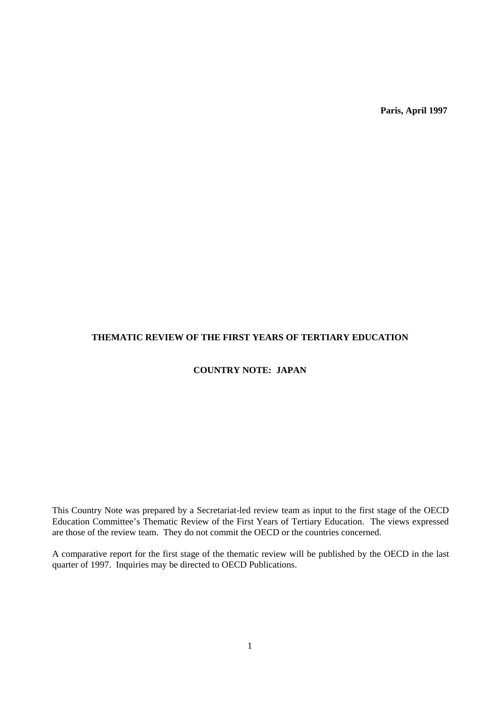**Paris, April 1997**

# **THEMATIC REVIEW OF THE FIRST YEARS OF TERTIARY EDUCATION**

# **COUNTRY NOTE: JAPAN**

This Country Note was prepared by a Secretariat-led review team as input to the first stage of the OECD Education Committee's Thematic Review of the First Years of Tertiary Education. The views expressed are those of the review team. They do not commit the OECD or the countries concerned.

A comparative report for the first stage of the thematic review will be published by the OECD in the last quarter of 1997. Inquiries may be directed to OECD Publications.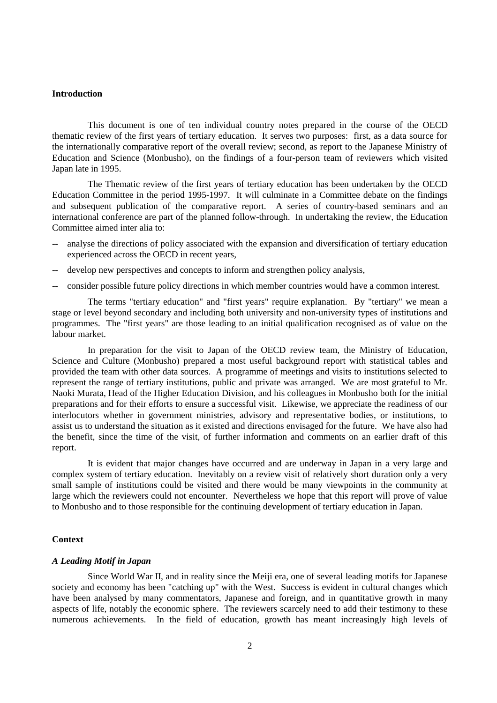#### **Introduction**

This document is one of ten individual country notes prepared in the course of the OECD thematic review of the first years of tertiary education. It serves two purposes: first, as a data source for the internationally comparative report of the overall review; second, as report to the Japanese Ministry of Education and Science (Monbusho), on the findings of a four-person team of reviewers which visited Japan late in 1995.

The Thematic review of the first years of tertiary education has been undertaken by the OECD Education Committee in the period 1995-1997. It will culminate in a Committee debate on the findings and subsequent publication of the comparative report. A series of country-based seminars and an international conference are part of the planned follow-through. In undertaking the review, the Education Committee aimed inter alia to:

- -- analyse the directions of policy associated with the expansion and diversification of tertiary education experienced across the OECD in recent years,
- -- develop new perspectives and concepts to inform and strengthen policy analysis,
- -- consider possible future policy directions in which member countries would have a common interest.

The terms "tertiary education" and "first years" require explanation. By "tertiary" we mean a stage or level beyond secondary and including both university and non-university types of institutions and programmes. The "first years" are those leading to an initial qualification recognised as of value on the labour market.

In preparation for the visit to Japan of the OECD review team, the Ministry of Education, Science and Culture (Monbusho) prepared a most useful background report with statistical tables and provided the team with other data sources. A programme of meetings and visits to institutions selected to represent the range of tertiary institutions, public and private was arranged. We are most grateful to Mr. Naoki Murata, Head of the Higher Education Division, and his colleagues in Monbusho both for the initial preparations and for their efforts to ensure a successful visit. Likewise, we appreciate the readiness of our interlocutors whether in government ministries, advisory and representative bodies, or institutions, to assist us to understand the situation as it existed and directions envisaged for the future. We have also had the benefit, since the time of the visit, of further information and comments on an earlier draft of this report.

It is evident that major changes have occurred and are underway in Japan in a very large and complex system of tertiary education. Inevitably on a review visit of relatively short duration only a very small sample of institutions could be visited and there would be many viewpoints in the community at large which the reviewers could not encounter. Nevertheless we hope that this report will prove of value to Monbusho and to those responsible for the continuing development of tertiary education in Japan.

#### **Context**

### *A Leading Motif in Japan*

Since World War II, and in reality since the Meiji era, one of several leading motifs for Japanese society and economy has been "catching up" with the West. Success is evident in cultural changes which have been analysed by many commentators, Japanese and foreign, and in quantitative growth in many aspects of life, notably the economic sphere. The reviewers scarcely need to add their testimony to these numerous achievements. In the field of education, growth has meant increasingly high levels of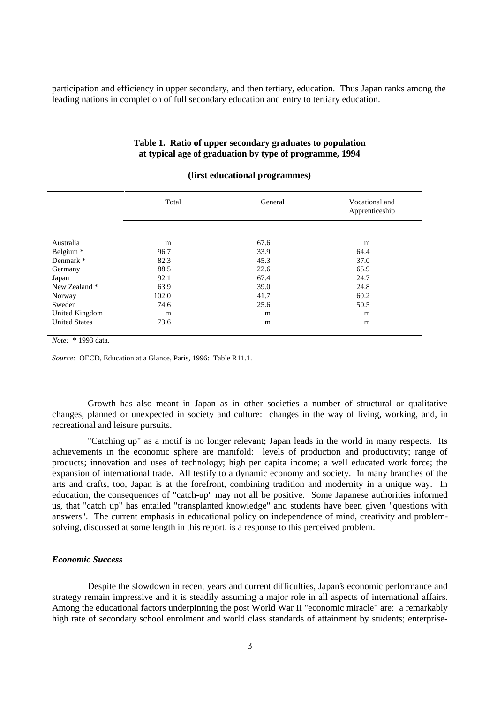participation and efficiency in upper secondary, and then tertiary, education. Thus Japan ranks among the leading nations in completion of full secondary education and entry to tertiary education.

|                |       | (tirst educational programmes) |                                  |
|----------------|-------|--------------------------------|----------------------------------|
|                | Total | General                        | Vocational and<br>Apprenticeship |
|                |       |                                |                                  |
| Australia      | m     | 67.6                           | m                                |
| Belgium *      | 96.7  | 33.9                           | 64.4                             |
| Denmark *      | 82.3  | 45.3                           | 37.0                             |
| Germany        | 88.5  | 22.6                           | 65.9                             |
| Japan          | 92.1  | 67.4                           | 24.7                             |
| New Zealand *  | 63.9  | 39.0                           | 24.8                             |
| Norway         | 102.0 | 41.7                           | 60.2                             |
| Sweden         | 74.6  | 25.6                           | 50.5                             |
| United Kingdom | m     | m                              | m                                |

United States **73.6** m m m

## **Table 1. Ratio of upper secondary graduates to population at typical age of graduation by type of programme, 1994**

## **(first educational programmes)**

*Note:* \* 1993 data.

*Source:* OECD, Education at a Glance, Paris, 1996: Table R11.1.

Growth has also meant in Japan as in other societies a number of structural or qualitative changes, planned or unexpected in society and culture: changes in the way of living, working, and, in recreational and leisure pursuits.

"Catching up" as a motif is no longer relevant; Japan leads in the world in many respects. Its achievements in the economic sphere are manifold: levels of production and productivity; range of products; innovation and uses of technology; high per capita income; a well educated work force; the expansion of international trade. All testify to a dynamic economy and society. In many branches of the arts and crafts, too, Japan is at the forefront, combining tradition and modernity in a unique way. In education, the consequences of "catch-up" may not all be positive. Some Japanese authorities informed us, that "catch up" has entailed "transplanted knowledge" and students have been given "questions with answers". The current emphasis in educational policy on independence of mind, creativity and problemsolving, discussed at some length in this report, is a response to this perceived problem.

#### *Economic Success*

Despite the slowdown in recent years and current difficulties, Japan's economic performance and strategy remain impressive and it is steadily assuming a major role in all aspects of international affairs. Among the educational factors underpinning the post World War II "economic miracle" are: a remarkably high rate of secondary school enrolment and world class standards of attainment by students; enterprise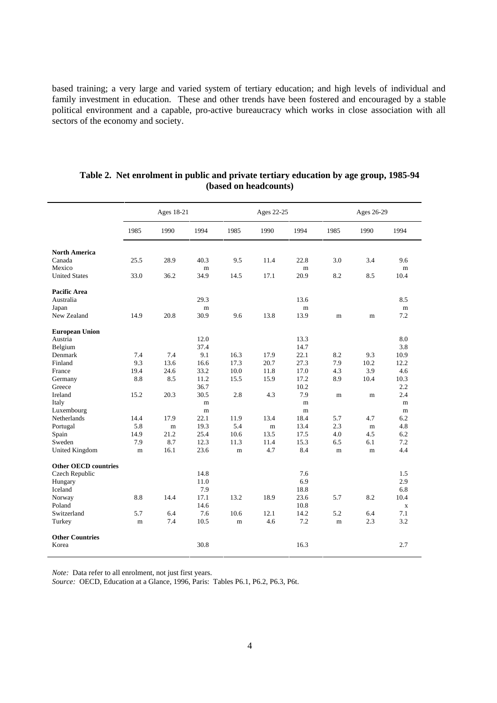based training; a very large and varied system of tertiary education; and high levels of individual and family investment in education. These and other trends have been fostered and encouraged by a stable political environment and a capable, pro-active bureaucracy which works in close association with all sectors of the economy and society.

|                             | Ages 18-21  |      |      |             | Ages 22-25 |      |             | Ages 26-29 |             |  |  |
|-----------------------------|-------------|------|------|-------------|------------|------|-------------|------------|-------------|--|--|
|                             | 1985        | 1990 | 1994 | 1985        | 1990       | 1994 | 1985        | 1990       | 1994        |  |  |
| <b>North America</b>        |             |      |      |             |            |      |             |            |             |  |  |
| Canada                      | 25.5        | 28.9 | 40.3 | 9.5         | 11.4       | 22.8 | 3.0         | 3.4        | 9.6         |  |  |
| Mexico                      |             |      | m    |             |            | m    |             |            | m           |  |  |
| <b>United States</b>        | 33.0        | 36.2 | 34.9 | 14.5        | 17.1       | 20.9 | 8.2         | 8.5        | 10.4        |  |  |
| <b>Pacific Area</b>         |             |      |      |             |            |      |             |            |             |  |  |
| Australia                   |             |      | 29.3 |             |            | 13.6 |             |            | 8.5         |  |  |
| Japan                       |             |      | m    |             |            | m    |             |            | m           |  |  |
| New Zealand                 | 14.9        | 20.8 | 30.9 | 9.6         | 13.8       | 13.9 | m           | m          | 7.2         |  |  |
| <b>European Union</b>       |             |      |      |             |            |      |             |            |             |  |  |
| Austria                     |             |      | 12.0 |             |            | 13.3 |             |            | 8.0         |  |  |
| Belgium                     |             |      | 37.4 |             |            | 14.7 |             |            | 3.8         |  |  |
| Denmark                     | 7.4         | 7.4  | 9.1  | 16.3        | 17.9       | 22.1 | 8.2         | 9.3        | 10.9        |  |  |
| Finland                     | 9.3         | 13.6 | 16.6 | 17.3        | 20.7       | 27.3 | 7.9         | 10.2       | 12.2        |  |  |
| France                      | 19.4        | 24.6 | 33.2 | 10.0        | 11.8       | 17.0 | 4.3         | 3.9        | 4.6         |  |  |
| Germany                     | 8.8         | 8.5  | 11.2 | 15.5        | 15.9       | 17.2 | 8.9         | 10.4       | 10.3        |  |  |
| Greece                      |             |      | 36.7 |             |            | 10.2 |             |            | 2.2         |  |  |
| Ireland                     | 15.2        | 20.3 | 30.5 | 2.8         | 4.3        | 7.9  | $\mathbf m$ | m          | 2.4         |  |  |
| Italy                       |             |      | m    |             |            | m    |             |            | m           |  |  |
| Luxembourg                  |             |      | m    |             |            | m    |             |            | m           |  |  |
| Netherlands                 | 14.4        | 17.9 | 22.1 | 11.9        | 13.4       | 18.4 | 5.7         | 4.7        | 6.2         |  |  |
| Portugal                    | 5.8         | m    | 19.3 | 5.4         | m          | 13.4 | 2.3         | m          | 4.8         |  |  |
| Spain                       | 14.9        | 21.2 | 25.4 | 10.6        | 13.5       | 17.5 | 4.0         | 4.5        | 6.2         |  |  |
| Sweden                      | 7.9         | 8.7  | 12.3 | 11.3        | 11.4       | 15.3 | 6.5         | 6.1        | 7.2         |  |  |
| United Kingdom              | m           | 16.1 | 23.6 | m           | 4.7        | 8.4  | m           | m          | 4.4         |  |  |
| <b>Other OECD countries</b> |             |      |      |             |            |      |             |            |             |  |  |
| Czech Republic              |             |      | 14.8 |             |            | 7.6  |             |            | 1.5         |  |  |
| Hungary                     |             |      | 11.0 |             |            | 6.9  |             |            | 2.9         |  |  |
| Iceland                     |             |      | 7.9  |             |            | 18.8 |             |            | 6.8         |  |  |
| Norway                      | 8.8         | 14.4 | 17.1 | 13.2        | 18.9       | 23.6 | 5.7         | 8.2        | 10.4        |  |  |
| Poland                      |             |      | 14.6 |             |            | 10.8 |             |            | $\mathbf X$ |  |  |
| Switzerland                 | 5.7         | 6.4  | 7.6  | 10.6        | 12.1       | 14.2 | 5.2         | 6.4        | 7.1         |  |  |
| Turkey                      | $\mathbf m$ | 7.4  | 10.5 | $\mathbf m$ | 4.6        | 7.2  | m           | 2.3        | 3.2         |  |  |
| <b>Other Countries</b>      |             |      |      |             |            |      |             |            |             |  |  |
| Korea                       |             |      | 30.8 |             |            | 16.3 |             |            | 2.7         |  |  |

## **Table 2. Net enrolment in public and private tertiary education by age group, 1985-94 (based on headcounts)**

*Note:* Data refer to all enrolment, not just first years.

*Source:* OECD, Education at a Glance, 1996, Paris: Tables P6.1, P6.2, P6.3, P6t.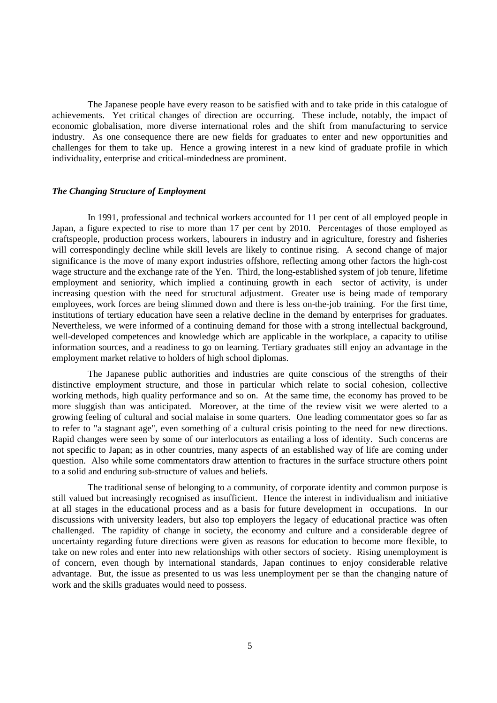The Japanese people have every reason to be satisfied with and to take pride in this catalogue of achievements. Yet critical changes of direction are occurring. These include, notably, the impact of economic globalisation, more diverse international roles and the shift from manufacturing to service industry. As one consequence there are new fields for graduates to enter and new opportunities and challenges for them to take up. Hence a growing interest in a new kind of graduate profile in which individuality, enterprise and critical-mindedness are prominent.

#### *The Changing Structure of Employment*

In 1991, professional and technical workers accounted for 11 per cent of all employed people in Japan, a figure expected to rise to more than 17 per cent by 2010. Percentages of those employed as craftspeople, production process workers, labourers in industry and in agriculture, forestry and fisheries will correspondingly decline while skill levels are likely to continue rising. A second change of major significance is the move of many export industries offshore, reflecting among other factors the high-cost wage structure and the exchange rate of the Yen. Third, the long-established system of job tenure, lifetime employment and seniority, which implied a continuing growth in each sector of activity, is under increasing question with the need for structural adjustment. Greater use is being made of temporary employees, work forces are being slimmed down and there is less on-the-job training. For the first time, institutions of tertiary education have seen a relative decline in the demand by enterprises for graduates. Nevertheless, we were informed of a continuing demand for those with a strong intellectual background, well-developed competences and knowledge which are applicable in the workplace, a capacity to utilise information sources, and a readiness to go on learning. Tertiary graduates still enjoy an advantage in the employment market relative to holders of high school diplomas.

The Japanese public authorities and industries are quite conscious of the strengths of their distinctive employment structure, and those in particular which relate to social cohesion, collective working methods, high quality performance and so on. At the same time, the economy has proved to be more sluggish than was anticipated. Moreover, at the time of the review visit we were alerted to a growing feeling of cultural and social malaise in some quarters. One leading commentator goes so far as to refer to "a stagnant age", even something of a cultural crisis pointing to the need for new directions. Rapid changes were seen by some of our interlocutors as entailing a loss of identity. Such concerns are not specific to Japan; as in other countries, many aspects of an established way of life are coming under question. Also while some commentators draw attention to fractures in the surface structure others point to a solid and enduring sub-structure of values and beliefs.

The traditional sense of belonging to a community, of corporate identity and common purpose is still valued but increasingly recognised as insufficient. Hence the interest in individualism and initiative at all stages in the educational process and as a basis for future development in occupations. In our discussions with university leaders, but also top employers the legacy of educational practice was often challenged. The rapidity of change in society, the economy and culture and a considerable degree of uncertainty regarding future directions were given as reasons for education to become more flexible, to take on new roles and enter into new relationships with other sectors of society. Rising unemployment is of concern, even though by international standards, Japan continues to enjoy considerable relative advantage. But, the issue as presented to us was less unemployment per se than the changing nature of work and the skills graduates would need to possess.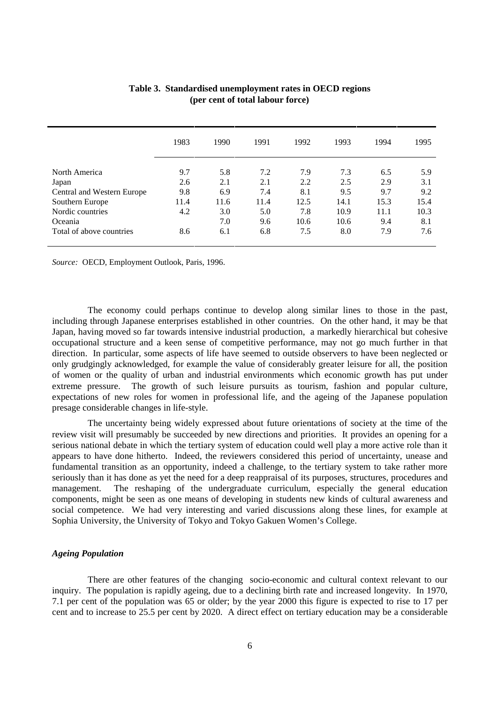|                            | 1983 | 1990 | 1991 | 1992 | 1993 | 1994 | 1995 |
|----------------------------|------|------|------|------|------|------|------|
| North America              | 9.7  | 5.8  | 7.2  | 7.9  | 7.3  | 6.5  | 5.9  |
| Japan                      | 2.6  | 2.1  | 2.1  | 2.2  | 2.5  | 2.9  | 3.1  |
| Central and Western Europe | 9.8  | 6.9  | 7.4  | 8.1  | 9.5  | 9.7  | 9.2  |
| Southern Europe            | 11.4 | 11.6 | 11.4 | 12.5 | 14.1 | 15.3 | 15.4 |
| Nordic countries           | 4.2  | 3.0  | 5.0  | 7.8  | 10.9 | 11.1 | 10.3 |
| Oceania                    |      | 7.0  | 9.6  | 10.6 | 10.6 | 9.4  | 8.1  |
| Total of above countries   | 8.6  | 6.1  | 6.8  | 7.5  | 8.0  | 7.9  | 7.6  |

| Table 3. Standardised unemployment rates in OECD regions |  |
|----------------------------------------------------------|--|
| (per cent of total labour force)                         |  |

*Source:* OECD, Employment Outlook, Paris, 1996.

The economy could perhaps continue to develop along similar lines to those in the past, including through Japanese enterprises established in other countries. On the other hand, it may be that Japan, having moved so far towards intensive industrial production, a markedly hierarchical but cohesive occupational structure and a keen sense of competitive performance, may not go much further in that direction. In particular, some aspects of life have seemed to outside observers to have been neglected or only grudgingly acknowledged, for example the value of considerably greater leisure for all, the position of women or the quality of urban and industrial environments which economic growth has put under extreme pressure. The growth of such leisure pursuits as tourism, fashion and popular culture, expectations of new roles for women in professional life, and the ageing of the Japanese population presage considerable changes in life-style.

The uncertainty being widely expressed about future orientations of society at the time of the review visit will presumably be succeeded by new directions and priorities. It provides an opening for a serious national debate in which the tertiary system of education could well play a more active role than it appears to have done hitherto. Indeed, the reviewers considered this period of uncertainty, unease and fundamental transition as an opportunity, indeed a challenge, to the tertiary system to take rather more seriously than it has done as yet the need for a deep reappraisal of its purposes, structures, procedures and management. The reshaping of the undergraduate curriculum, especially the general education components, might be seen as one means of developing in students new kinds of cultural awareness and social competence. We had very interesting and varied discussions along these lines, for example at Sophia University, the University of Tokyo and Tokyo Gakuen Women's College.

## *Ageing Population*

There are other features of the changing socio-economic and cultural context relevant to our inquiry. The population is rapidly ageing, due to a declining birth rate and increased longevity. In 1970, 7.1 per cent of the population was 65 or older; by the year 2000 this figure is expected to rise to 17 per cent and to increase to 25.5 per cent by 2020. A direct effect on tertiary education may be a considerable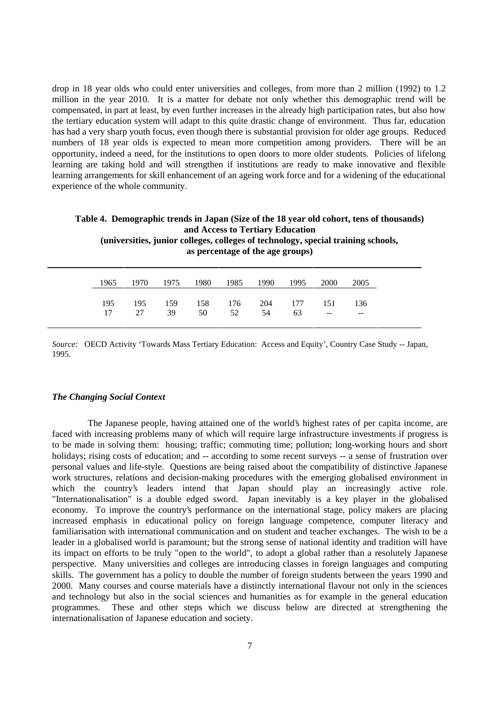drop in 18 year olds who could enter universities and colleges, from more than 2 million (1992) to 1.2 million in the year 2010. It is a matter for debate not only whether this demographic trend will be compensated, in part at least, by even further increases in the already high participation rates, but also how the tertiary education system will adapt to this quite drastic change of environment. Thus far, education has had a very sharp youth focus, even though there is substantial provision for older age groups. Reduced numbers of 18 year olds is expected to mean more competition among providers. There will be an opportunity, indeed a need, for the institutions to open doors to more older students. Policies of lifelong learning are taking hold and will strengthen if institutions are ready to make innovative and flexible learning arrangements for skill enhancement of an ageing work force and for a widening of the educational experience of the whole community.

|      |      |      |      |      | and Access to Tertiary Education<br>as percentage of the age groups) |      |      | (universities, junior colleges, colleges of technology, special training schools, | Table 4. Demographic trends in Japan (Size of the 18 year old cohort, tens of thousands) |  |
|------|------|------|------|------|----------------------------------------------------------------------|------|------|-----------------------------------------------------------------------------------|------------------------------------------------------------------------------------------|--|
| 1965 | 1970 | 1975 | 1980 | 1985 | 1990                                                                 | 1995 | 2000 | 2005                                                                              |                                                                                          |  |

|     |  |  |                                               | 1970 1975 1980 1985 1990 1995 | 2000 <sup>1</sup> | 2005 |
|-----|--|--|-----------------------------------------------|-------------------------------|-------------------|------|
|     |  |  |                                               |                               |                   |      |
| 195 |  |  | 195 159 158 176 204 177 151                   |                               |                   | -136 |
|     |  |  | $17 \t 27 \t 39 \t 50 \t 52 \t 54 \t 63 \t -$ |                               |                   |      |

*Source:* OECD Activity 'Towards Mass Tertiary Education: Access and Equity', Country Case Study -- Japan, 1995.

## *The Changing Social Context*

The Japanese people, having attained one of the world's highest rates of per capita income, are faced with increasing problems many of which will require large infrastructure investments if progress is to be made in solving them: housing; traffic; commuting time; pollution; long-working hours and short holidays; rising costs of education; and -- according to some recent surveys -- a sense of frustration over personal values and life-style. Questions are being raised about the compatibility of distinctive Japanese work structures, relations and decision-making procedures with the emerging globalised environment in which the country's leaders intend that Japan should play an increasingly active role. "Internationalisation" is a double edged sword. Japan inevitably is a key player in the globalised economy. To improve the country's performance on the international stage, policy makers are placing increased emphasis in educational policy on foreign language competence, computer literacy and familiarisation with international communication and on student and teacher exchanges. The wish to be a leader in a globalised world is paramount; but the strong sense of national identity and tradition will have its impact on efforts to be truly "open to the world", to adopt a global rather than a resolutely Japanese perspective. Many universities and colleges are introducing classes in foreign languages and computing skills. The government has a policy to double the number of foreign students between the years 1990 and 2000. Many courses and course materials have a distinctly international flavour not only in the sciences and technology but also in the social sciences and humanities as for example in the general education programmes. These and other steps which we discuss below are directed at strengthening the internationalisation of Japanese education and society.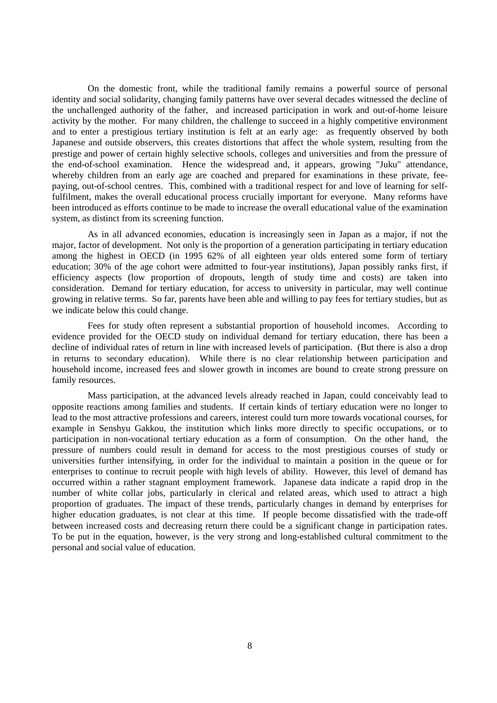On the domestic front, while the traditional family remains a powerful source of personal identity and social solidarity, changing family patterns have over several decades witnessed the decline of the unchallenged authority of the father, and increased participation in work and out-of-home leisure activity by the mother. For many children, the challenge to succeed in a highly competitive environment and to enter a prestigious tertiary institution is felt at an early age: as frequently observed by both Japanese and outside observers, this creates distortions that affect the whole system, resulting from the prestige and power of certain highly selective schools, colleges and universities and from the pressure of the end-of-school examination. Hence the widespread and, it appears, growing "Juku" attendance, whereby children from an early age are coached and prepared for examinations in these private, feepaying, out-of-school centres. This, combined with a traditional respect for and love of learning for selffulfilment, makes the overall educational process crucially important for everyone. Many reforms have been introduced as efforts continue to be made to increase the overall educational value of the examination system, as distinct from its screening function.

As in all advanced economies, education is increasingly seen in Japan as a major, if not the major, factor of development. Not only is the proportion of a generation participating in tertiary education among the highest in OECD (in 1995 62% of all eighteen year olds entered some form of tertiary education; 30% of the age cohort were admitted to four-year institutions), Japan possibly ranks first, if efficiency aspects (low proportion of dropouts, length of study time and costs) are taken into consideration. Demand for tertiary education, for access to university in particular, may well continue growing in relative terms. So far, parents have been able and willing to pay fees for tertiary studies, but as we indicate below this could change.

Fees for study often represent a substantial proportion of household incomes. According to evidence provided for the OECD study on individual demand for tertiary education, there has been a decline of individual rates of return in line with increased levels of participation. (But there is also a drop in returns to secondary education). While there is no clear relationship between participation and household income, increased fees and slower growth in incomes are bound to create strong pressure on family resources.

Mass participation, at the advanced levels already reached in Japan, could conceivably lead to opposite reactions among families and students. If certain kinds of tertiary education were no longer to lead to the most attractive professions and careers, interest could turn more towards vocational courses, for example in Senshyu Gakkou, the institution which links more directly to specific occupations, or to participation in non-vocational tertiary education as a form of consumption. On the other hand, the pressure of numbers could result in demand for access to the most prestigious courses of study or universities further intensifying, in order for the individual to maintain a position in the queue or for enterprises to continue to recruit people with high levels of ability. However, this level of demand has occurred within a rather stagnant employment framework. Japanese data indicate a rapid drop in the number of white collar jobs, particularly in clerical and related areas, which used to attract a high proportion of graduates. The impact of these trends, particularly changes in demand by enterprises for higher education graduates, is not clear at this time. If people become dissatisfied with the trade-off between increased costs and decreasing return there could be a significant change in participation rates. To be put in the equation, however, is the very strong and long-established cultural commitment to the personal and social value of education.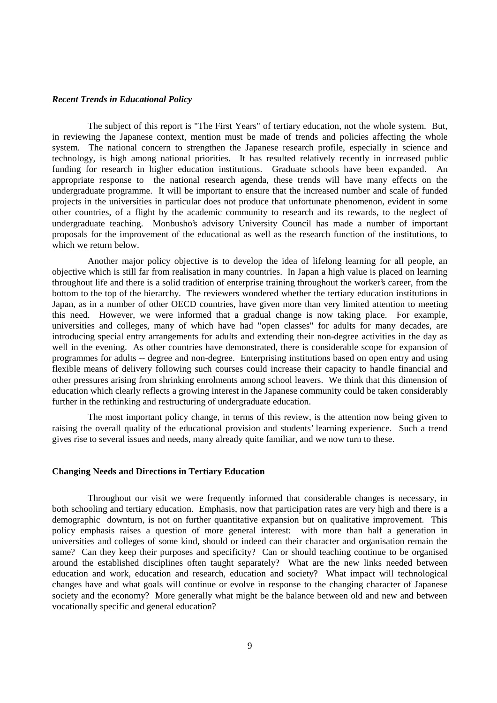#### *Recent Trends in Educational Policy*

The subject of this report is "The First Years" of tertiary education, not the whole system. But, in reviewing the Japanese context, mention must be made of trends and policies affecting the whole system. The national concern to strengthen the Japanese research profile, especially in science and technology, is high among national priorities. It has resulted relatively recently in increased public funding for research in higher education institutions. Graduate schools have been expanded. An appropriate response to the national research agenda, these trends will have many effects on the undergraduate programme. It will be important to ensure that the increased number and scale of funded projects in the universities in particular does not produce that unfortunate phenomenon, evident in some other countries, of a flight by the academic community to research and its rewards, to the neglect of undergraduate teaching. Monbusho's advisory University Council has made a number of important proposals for the improvement of the educational as well as the research function of the institutions, to which we return below

Another major policy objective is to develop the idea of lifelong learning for all people, an objective which is still far from realisation in many countries. In Japan a high value is placed on learning throughout life and there is a solid tradition of enterprise training throughout the worker's career, from the bottom to the top of the hierarchy. The reviewers wondered whether the tertiary education institutions in Japan, as in a number of other OECD countries, have given more than very limited attention to meeting this need. However, we were informed that a gradual change is now taking place. For example, universities and colleges, many of which have had "open classes" for adults for many decades, are introducing special entry arrangements for adults and extending their non-degree activities in the day as well in the evening. As other countries have demonstrated, there is considerable scope for expansion of programmes for adults -- degree and non-degree. Enterprising institutions based on open entry and using flexible means of delivery following such courses could increase their capacity to handle financial and other pressures arising from shrinking enrolments among school leavers. We think that this dimension of education which clearly reflects a growing interest in the Japanese community could be taken considerably further in the rethinking and restructuring of undergraduate education.

The most important policy change, in terms of this review, is the attention now being given to raising the overall quality of the educational provision and students' learning experience. Such a trend gives rise to several issues and needs, many already quite familiar, and we now turn to these.

## **Changing Needs and Directions in Tertiary Education**

Throughout our visit we were frequently informed that considerable changes is necessary, in both schooling and tertiary education. Emphasis, now that participation rates are very high and there is a demographic downturn, is not on further quantitative expansion but on qualitative improvement. This policy emphasis raises a question of more general interest: with more than half a generation in universities and colleges of some kind, should or indeed can their character and organisation remain the same? Can they keep their purposes and specificity? Can or should teaching continue to be organised around the established disciplines often taught separately? What are the new links needed between education and work, education and research, education and society? What impact will technological changes have and what goals will continue or evolve in response to the changing character of Japanese society and the economy? More generally what might be the balance between old and new and between vocationally specific and general education?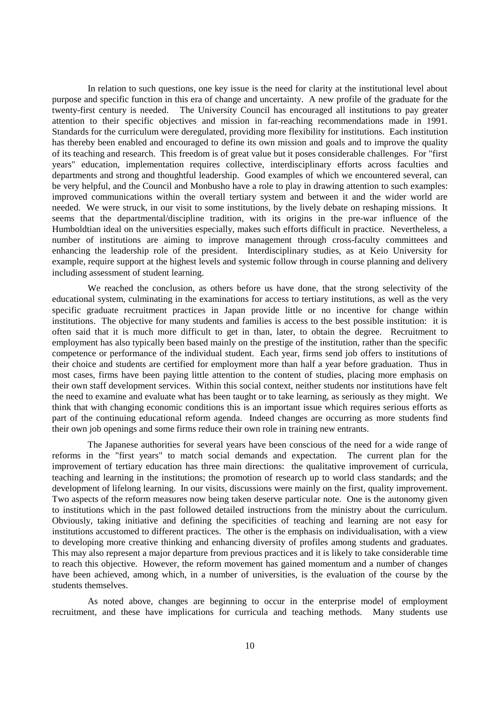In relation to such questions, one key issue is the need for clarity at the institutional level about purpose and specific function in this era of change and uncertainty. A new profile of the graduate for the twenty-first century is needed. The University Council has encouraged all institutions to pay greater attention to their specific objectives and mission in far-reaching recommendations made in 1991. Standards for the curriculum were deregulated, providing more flexibility for institutions. Each institution has thereby been enabled and encouraged to define its own mission and goals and to improve the quality of its teaching and research. This freedom is of great value but it poses considerable challenges. For "first years" education, implementation requires collective, interdisciplinary efforts across faculties and departments and strong and thoughtful leadership. Good examples of which we encountered several, can be very helpful, and the Council and Monbusho have a role to play in drawing attention to such examples: improved communications within the overall tertiary system and between it and the wider world are needed. We were struck, in our visit to some institutions, by the lively debate on reshaping missions. It seems that the departmental/discipline tradition, with its origins in the pre-war influence of the Humboldtian ideal on the universities especially, makes such efforts difficult in practice. Nevertheless, a number of institutions are aiming to improve management through cross-faculty committees and enhancing the leadership role of the president. Interdisciplinary studies, as at Keio University for example, require support at the highest levels and systemic follow through in course planning and delivery including assessment of student learning.

We reached the conclusion, as others before us have done, that the strong selectivity of the educational system, culminating in the examinations for access to tertiary institutions, as well as the very specific graduate recruitment practices in Japan provide little or no incentive for change within institutions. The objective for many students and families is access to the best possible institution: it is often said that it is much more difficult to get in than, later, to obtain the degree. Recruitment to employment has also typically been based mainly on the prestige of the institution, rather than the specific competence or performance of the individual student. Each year, firms send job offers to institutions of their choice and students are certified for employment more than half a year before graduation. Thus in most cases, firms have been paying little attention to the content of studies, placing more emphasis on their own staff development services. Within this social context, neither students nor institutions have felt the need to examine and evaluate what has been taught or to take learning, as seriously as they might. We think that with changing economic conditions this is an important issue which requires serious efforts as part of the continuing educational reform agenda. Indeed changes are occurring as more students find their own job openings and some firms reduce their own role in training new entrants.

The Japanese authorities for several years have been conscious of the need for a wide range of reforms in the "first years" to match social demands and expectation. The current plan for the improvement of tertiary education has three main directions: the qualitative improvement of curricula, teaching and learning in the institutions; the promotion of research up to world class standards; and the development of lifelong learning. In our visits, discussions were mainly on the first, quality improvement. Two aspects of the reform measures now being taken deserve particular note. One is the autonomy given to institutions which in the past followed detailed instructions from the ministry about the curriculum. Obviously, taking initiative and defining the specificities of teaching and learning are not easy for institutions accustomed to different practices. The other is the emphasis on individualisation, with a view to developing more creative thinking and enhancing diversity of profiles among students and graduates. This may also represent a major departure from previous practices and it is likely to take considerable time to reach this objective. However, the reform movement has gained momentum and a number of changes have been achieved, among which, in a number of universities, is the evaluation of the course by the students themselves.

As noted above, changes are beginning to occur in the enterprise model of employment recruitment, and these have implications for curricula and teaching methods. Many students use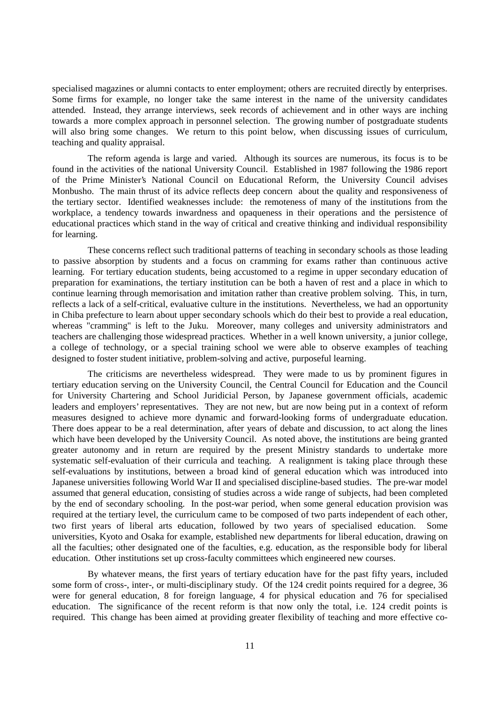specialised magazines or alumni contacts to enter employment; others are recruited directly by enterprises. Some firms for example, no longer take the same interest in the name of the university candidates attended. Instead, they arrange interviews, seek records of achievement and in other ways are inching towards a more complex approach in personnel selection. The growing number of postgraduate students will also bring some changes. We return to this point below, when discussing issues of curriculum, teaching and quality appraisal.

The reform agenda is large and varied. Although its sources are numerous, its focus is to be found in the activities of the national University Council. Established in 1987 following the 1986 report of the Prime Minister's National Council on Educational Reform, the University Council advises Monbusho. The main thrust of its advice reflects deep concern about the quality and responsiveness of the tertiary sector. Identified weaknesses include: the remoteness of many of the institutions from the workplace, a tendency towards inwardness and opaqueness in their operations and the persistence of educational practices which stand in the way of critical and creative thinking and individual responsibility for learning.

These concerns reflect such traditional patterns of teaching in secondary schools as those leading to passive absorption by students and a focus on cramming for exams rather than continuous active learning. For tertiary education students, being accustomed to a regime in upper secondary education of preparation for examinations, the tertiary institution can be both a haven of rest and a place in which to continue learning through memorisation and imitation rather than creative problem solving. This, in turn, reflects a lack of a self-critical, evaluative culture in the institutions. Nevertheless, we had an opportunity in Chiba prefecture to learn about upper secondary schools which do their best to provide a real education, whereas "cramming" is left to the Juku. Moreover, many colleges and university administrators and teachers are challenging those widespread practices. Whether in a well known university, a junior college, a college of technology, or a special training school we were able to observe examples of teaching designed to foster student initiative, problem-solving and active, purposeful learning.

The criticisms are nevertheless widespread. They were made to us by prominent figures in tertiary education serving on the University Council, the Central Council for Education and the Council for University Chartering and School Juridicial Person, by Japanese government officials, academic leaders and employers' representatives. They are not new, but are now being put in a context of reform measures designed to achieve more dynamic and forward-looking forms of undergraduate education. There does appear to be a real determination, after years of debate and discussion, to act along the lines which have been developed by the University Council. As noted above, the institutions are being granted greater autonomy and in return are required by the present Ministry standards to undertake more systematic self-evaluation of their curricula and teaching. A realignment is taking place through these self-evaluations by institutions, between a broad kind of general education which was introduced into Japanese universities following World War II and specialised discipline-based studies. The pre-war model assumed that general education, consisting of studies across a wide range of subjects, had been completed by the end of secondary schooling. In the post-war period, when some general education provision was required at the tertiary level, the curriculum came to be composed of two parts independent of each other, two first years of liberal arts education, followed by two years of specialised education. Some universities, Kyoto and Osaka for example, established new departments for liberal education, drawing on all the faculties; other designated one of the faculties, e.g. education, as the responsible body for liberal education. Other institutions set up cross-faculty committees which engineered new courses.

By whatever means, the first years of tertiary education have for the past fifty years, included some form of cross-, inter-, or multi-disciplinary study. Of the 124 credit points required for a degree, 36 were for general education, 8 for foreign language, 4 for physical education and 76 for specialised education. The significance of the recent reform is that now only the total, i.e. 124 credit points is required. This change has been aimed at providing greater flexibility of teaching and more effective co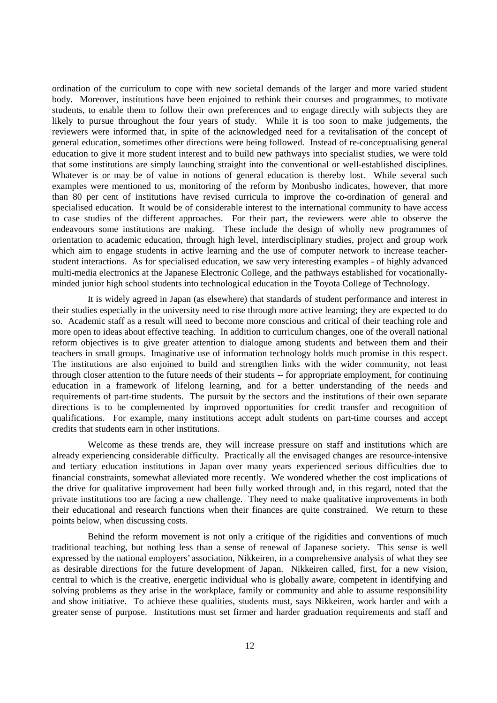ordination of the curriculum to cope with new societal demands of the larger and more varied student body. Moreover, institutions have been enjoined to rethink their courses and programmes, to motivate students, to enable them to follow their own preferences and to engage directly with subjects they are likely to pursue throughout the four years of study. While it is too soon to make judgements, the reviewers were informed that, in spite of the acknowledged need for a revitalisation of the concept of general education, sometimes other directions were being followed. Instead of re-conceptualising general education to give it more student interest and to build new pathways into specialist studies, we were told that some institutions are simply launching straight into the conventional or well-established disciplines. Whatever is or may be of value in notions of general education is thereby lost. While several such examples were mentioned to us, monitoring of the reform by Monbusho indicates, however, that more than 80 per cent of institutions have revised curricula to improve the co-ordination of general and specialised education. It would be of considerable interest to the international community to have access to case studies of the different approaches. For their part, the reviewers were able to observe the endeavours some institutions are making. These include the design of wholly new programmes of orientation to academic education, through high level, interdisciplinary studies, project and group work which aim to engage students in active learning and the use of computer network to increase teacherstudent interactions. As for specialised education, we saw very interesting examples - of highly advanced multi-media electronics at the Japanese Electronic College, and the pathways established for vocationallyminded junior high school students into technological education in the Toyota College of Technology.

It is widely agreed in Japan (as elsewhere) that standards of student performance and interest in their studies especially in the university need to rise through more active learning; they are expected to do so. Academic staff as a result will need to become more conscious and critical of their teaching role and more open to ideas about effective teaching. In addition to curriculum changes, one of the overall national reform objectives is to give greater attention to dialogue among students and between them and their teachers in small groups. Imaginative use of information technology holds much promise in this respect. The institutions are also enjoined to build and strengthen links with the wider community, not least through closer attention to the future needs of their students -- for appropriate employment, for continuing education in a framework of lifelong learning, and for a better understanding of the needs and requirements of part-time students. The pursuit by the sectors and the institutions of their own separate directions is to be complemented by improved opportunities for credit transfer and recognition of qualifications. For example, many institutions accept adult students on part-time courses and accept credits that students earn in other institutions.

Welcome as these trends are, they will increase pressure on staff and institutions which are already experiencing considerable difficulty. Practically all the envisaged changes are resource-intensive and tertiary education institutions in Japan over many years experienced serious difficulties due to financial constraints, somewhat alleviated more recently. We wondered whether the cost implications of the drive for qualitative improvement had been fully worked through and, in this regard, noted that the private institutions too are facing a new challenge. They need to make qualitative improvements in both their educational and research functions when their finances are quite constrained. We return to these points below, when discussing costs.

Behind the reform movement is not only a critique of the rigidities and conventions of much traditional teaching, but nothing less than a sense of renewal of Japanese society. This sense is well expressed by the national employers' association, Nikkeiren, in a comprehensive analysis of what they see as desirable directions for the future development of Japan. Nikkeiren called, first, for a new vision, central to which is the creative, energetic individual who is globally aware, competent in identifying and solving problems as they arise in the workplace, family or community and able to assume responsibility and show initiative. To achieve these qualities, students must, says Nikkeiren, work harder and with a greater sense of purpose. Institutions must set firmer and harder graduation requirements and staff and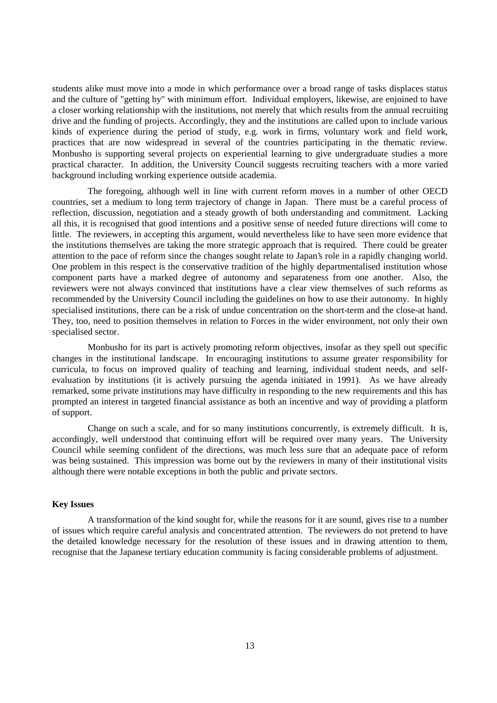students alike must move into a mode in which performance over a broad range of tasks displaces status and the culture of "getting by" with minimum effort. Individual employers, likewise, are enjoined to have a closer working relationship with the institutions, not merely that which results from the annual recruiting drive and the funding of projects. Accordingly, they and the institutions are called upon to include various kinds of experience during the period of study, e.g. work in firms, voluntary work and field work, practices that are now widespread in several of the countries participating in the thematic review. Monbusho is supporting several projects on experiential learning to give undergraduate studies a more practical character. In addition, the University Council suggests recruiting teachers with a more varied background including working experience outside academia.

The foregoing, although well in line with current reform moves in a number of other OECD countries, set a medium to long term trajectory of change in Japan. There must be a careful process of reflection, discussion, negotiation and a steady growth of both understanding and commitment. Lacking all this, it is recognised that good intentions and a positive sense of needed future directions will come to little. The reviewers, in accepting this argument, would nevertheless like to have seen more evidence that the institutions themselves are taking the more strategic approach that is required. There could be greater attention to the pace of reform since the changes sought relate to Japan's role in a rapidly changing world. One problem in this respect is the conservative tradition of the highly departmentalised institution whose component parts have a marked degree of autonomy and separateness from one another. Also, the reviewers were not always convinced that institutions have a clear view themselves of such reforms as recommended by the University Council including the guidelines on how to use their autonomy. In highly specialised institutions, there can be a risk of undue concentration on the short-term and the close-at hand. They, too, need to position themselves in relation to Forces in the wider environment, not only their own specialised sector.

Monbusho for its part is actively promoting reform objectives, insofar as they spell out specific changes in the institutional landscape. In encouraging institutions to assume greater responsibility for curricula, to focus on improved quality of teaching and learning, individual student needs, and selfevaluation by institutions (it is actively pursuing the agenda initiated in 1991). As we have already remarked, some private institutions may have difficulty in responding to the new requirements and this has prompted an interest in targeted financial assistance as both an incentive and way of providing a platform of support.

Change on such a scale, and for so many institutions concurrently, is extremely difficult. It is, accordingly, well understood that continuing effort will be required over many years. The University Council while seeming confident of the directions, was much less sure that an adequate pace of reform was being sustained. This impression was borne out by the reviewers in many of their institutional visits although there were notable exceptions in both the public and private sectors.

#### **Key Issues**

A transformation of the kind sought for, while the reasons for it are sound, gives rise to a number of issues which require careful analysis and concentrated attention. The reviewers do not pretend to have the detailed knowledge necessary for the resolution of these issues and in drawing attention to them, recognise that the Japanese tertiary education community is facing considerable problems of adjustment.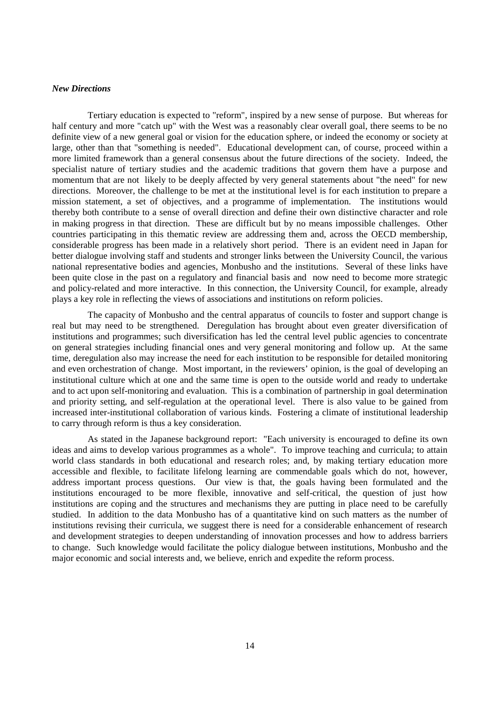### *New Directions*

Tertiary education is expected to "reform", inspired by a new sense of purpose. But whereas for half century and more "catch up" with the West was a reasonably clear overall goal, there seems to be no definite view of a new general goal or vision for the education sphere, or indeed the economy or society at large, other than that "something is needed". Educational development can, of course, proceed within a more limited framework than a general consensus about the future directions of the society. Indeed, the specialist nature of tertiary studies and the academic traditions that govern them have a purpose and momentum that are not likely to be deeply affected by very general statements about "the need" for new directions. Moreover, the challenge to be met at the institutional level is for each institution to prepare a mission statement, a set of objectives, and a programme of implementation. The institutions would thereby both contribute to a sense of overall direction and define their own distinctive character and role in making progress in that direction. These are difficult but by no means impossible challenges. Other countries participating in this thematic review are addressing them and, across the OECD membership, considerable progress has been made in a relatively short period. There is an evident need in Japan for better dialogue involving staff and students and stronger links between the University Council, the various national representative bodies and agencies, Monbusho and the institutions. Several of these links have been quite close in the past on a regulatory and financial basis and now need to become more strategic and policy-related and more interactive. In this connection, the University Council, for example, already plays a key role in reflecting the views of associations and institutions on reform policies.

The capacity of Monbusho and the central apparatus of councils to foster and support change is real but may need to be strengthened. Deregulation has brought about even greater diversification of institutions and programmes; such diversification has led the central level public agencies to concentrate on general strategies including financial ones and very general monitoring and follow up. At the same time, deregulation also may increase the need for each institution to be responsible for detailed monitoring and even orchestration of change. Most important, in the reviewers' opinion, is the goal of developing an institutional culture which at one and the same time is open to the outside world and ready to undertake and to act upon self-monitoring and evaluation. This is a combination of partnership in goal determination and priority setting, and self-regulation at the operational level. There is also value to be gained from increased inter-institutional collaboration of various kinds. Fostering a climate of institutional leadership to carry through reform is thus a key consideration.

As stated in the Japanese background report: "Each university is encouraged to define its own ideas and aims to develop various programmes as a whole". To improve teaching and curricula; to attain world class standards in both educational and research roles; and, by making tertiary education more accessible and flexible, to facilitate lifelong learning are commendable goals which do not, however, address important process questions. Our view is that, the goals having been formulated and the institutions encouraged to be more flexible, innovative and self-critical, the question of just how institutions are coping and the structures and mechanisms they are putting in place need to be carefully studied. In addition to the data Monbusho has of a quantitative kind on such matters as the number of institutions revising their curricula, we suggest there is need for a considerable enhancement of research and development strategies to deepen understanding of innovation processes and how to address barriers to change. Such knowledge would facilitate the policy dialogue between institutions, Monbusho and the major economic and social interests and, we believe, enrich and expedite the reform process.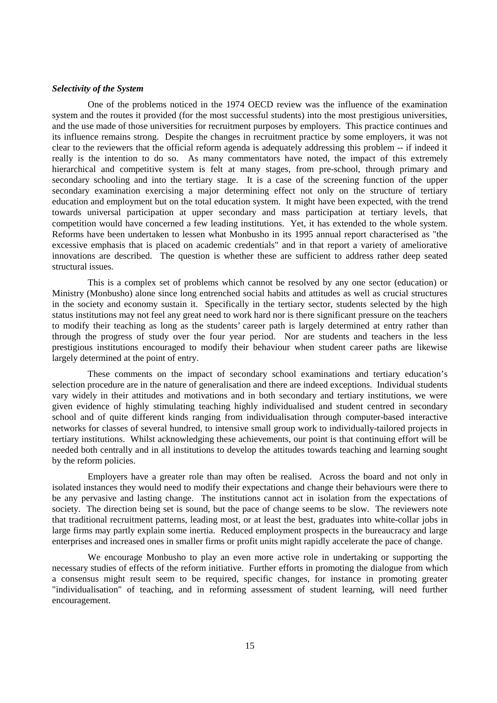### *Selectivity of the System*

One of the problems noticed in the 1974 OECD review was the influence of the examination system and the routes it provided (for the most successful students) into the most prestigious universities, and the use made of those universities for recruitment purposes by employers. This practice continues and its influence remains strong. Despite the changes in recruitment practice by some employers, it was not clear to the reviewers that the official reform agenda is adequately addressing this problem -- if indeed it really is the intention to do so. As many commentators have noted, the impact of this extremely hierarchical and competitive system is felt at many stages, from pre-school, through primary and secondary schooling and into the tertiary stage. It is a case of the screening function of the upper secondary examination exercising a major determining effect not only on the structure of tertiary education and employment but on the total education system. It might have been expected, with the trend towards universal participation at upper secondary and mass participation at tertiary levels, that competition would have concerned a few leading institutions. Yet, it has extended to the whole system. Reforms have been undertaken to lessen what Monbusho in its 1995 annual report characterised as "the excessive emphasis that is placed on academic credentials" and in that report a variety of ameliorative innovations are described. The question is whether these are sufficient to address rather deep seated structural issues.

This is a complex set of problems which cannot be resolved by any one sector (education) or Ministry (Monbusho) alone since long entrenched social habits and attitudes as well as crucial structures in the society and economy sustain it. Specifically in the tertiary sector, students selected by the high status institutions may not feel any great need to work hard nor is there significant pressure on the teachers to modify their teaching as long as the students' career path is largely determined at entry rather than through the progress of study over the four year period. Nor are students and teachers in the less prestigious institutions encouraged to modify their behaviour when student career paths are likewise largely determined at the point of entry.

These comments on the impact of secondary school examinations and tertiary education's selection procedure are in the nature of generalisation and there are indeed exceptions. Individual students vary widely in their attitudes and motivations and in both secondary and tertiary institutions, we were given evidence of highly stimulating teaching highly individualised and student centred in secondary school and of quite different kinds ranging from individualisation through computer-based interactive networks for classes of several hundred, to intensive small group work to individually-tailored projects in tertiary institutions. Whilst acknowledging these achievements, our point is that continuing effort will be needed both centrally and in all institutions to develop the attitudes towards teaching and learning sought by the reform policies.

Employers have a greater role than may often be realised. Across the board and not only in isolated instances they would need to modify their expectations and change their behaviours were there to be any pervasive and lasting change. The institutions cannot act in isolation from the expectations of society. The direction being set is sound, but the pace of change seems to be slow. The reviewers note that traditional recruitment patterns, leading most, or at least the best, graduates into white-collar jobs in large firms may partly explain some inertia. Reduced employment prospects in the bureaucracy and large enterprises and increased ones in smaller firms or profit units might rapidly accelerate the pace of change.

We encourage Monbusho to play an even more active role in undertaking or supporting the necessary studies of effects of the reform initiative. Further efforts in promoting the dialogue from which a consensus might result seem to be required, specific changes, for instance in promoting greater "individualisation" of teaching, and in reforming assessment of student learning, will need further encouragement.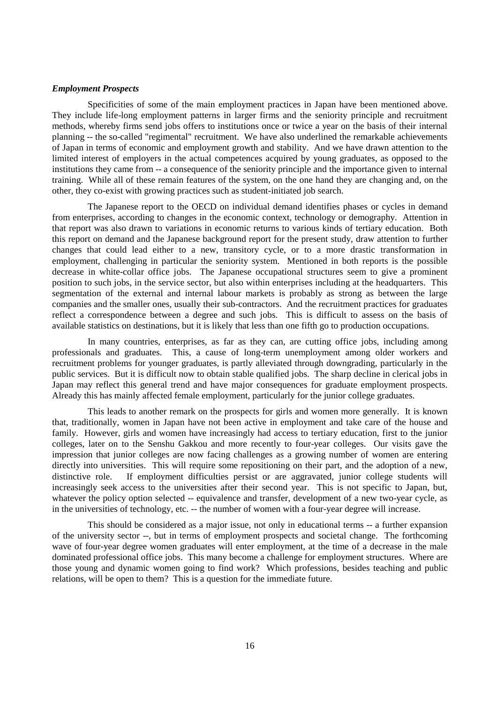#### *Employment Prospects*

Specificities of some of the main employment practices in Japan have been mentioned above. They include life-long employment patterns in larger firms and the seniority principle and recruitment methods, whereby firms send jobs offers to institutions once or twice a year on the basis of their internal planning -- the so-called "regimental" recruitment. We have also underlined the remarkable achievements of Japan in terms of economic and employment growth and stability. And we have drawn attention to the limited interest of employers in the actual competences acquired by young graduates, as opposed to the institutions they came from -- a consequence of the seniority principle and the importance given to internal training. While all of these remain features of the system, on the one hand they are changing and, on the other, they co-exist with growing practices such as student-initiated job search.

The Japanese report to the OECD on individual demand identifies phases or cycles in demand from enterprises, according to changes in the economic context, technology or demography. Attention in that report was also drawn to variations in economic returns to various kinds of tertiary education. Both this report on demand and the Japanese background report for the present study, draw attention to further changes that could lead either to a new, transitory cycle, or to a more drastic transformation in employment, challenging in particular the seniority system. Mentioned in both reports is the possible decrease in white-collar office jobs. The Japanese occupational structures seem to give a prominent position to such jobs, in the service sector, but also within enterprises including at the headquarters. This segmentation of the external and internal labour markets is probably as strong as between the large companies and the smaller ones, usually their sub-contractors. And the recruitment practices for graduates reflect a correspondence between a degree and such jobs. This is difficult to assess on the basis of available statistics on destinations, but it is likely that less than one fifth go to production occupations.

In many countries, enterprises, as far as they can, are cutting office jobs, including among professionals and graduates. This, a cause of long-term unemployment among older workers and recruitment problems for younger graduates, is partly alleviated through downgrading, particularly in the public services. But it is difficult now to obtain stable qualified jobs. The sharp decline in clerical jobs in Japan may reflect this general trend and have major consequences for graduate employment prospects. Already this has mainly affected female employment, particularly for the junior college graduates.

This leads to another remark on the prospects for girls and women more generally. It is known that, traditionally, women in Japan have not been active in employment and take care of the house and family. However, girls and women have increasingly had access to tertiary education, first to the junior colleges, later on to the Senshu Gakkou and more recently to four-year colleges. Our visits gave the impression that junior colleges are now facing challenges as a growing number of women are entering directly into universities. This will require some repositioning on their part, and the adoption of a new, distinctive role. If employment difficulties persist or are aggravated, junior college students will increasingly seek access to the universities after their second year. This is not specific to Japan, but, whatever the policy option selected -- equivalence and transfer, development of a new two-year cycle, as in the universities of technology, etc. -- the number of women with a four-year degree will increase.

This should be considered as a major issue, not only in educational terms -- a further expansion of the university sector --, but in terms of employment prospects and societal change. The forthcoming wave of four-year degree women graduates will enter employment, at the time of a decrease in the male dominated professional office jobs. This many become a challenge for employment structures. Where are those young and dynamic women going to find work? Which professions, besides teaching and public relations, will be open to them? This is a question for the immediate future.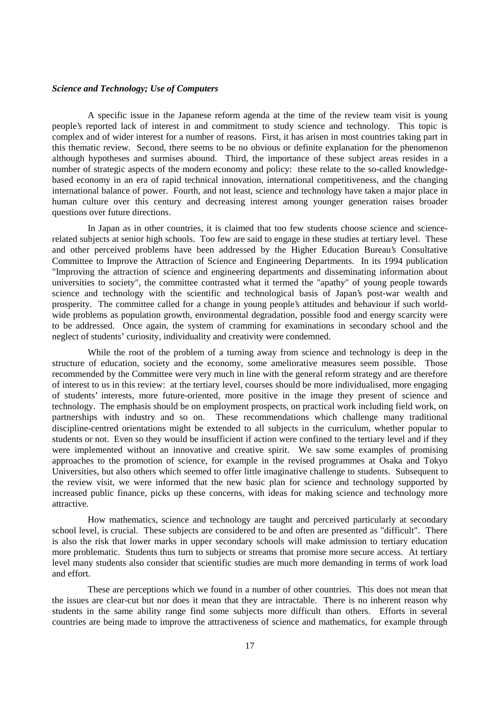#### *Science and Technology; Use of Computers*

A specific issue in the Japanese reform agenda at the time of the review team visit is young people's reported lack of interest in and commitment to study science and technology. This topic is complex and of wider interest for a number of reasons. First, it has arisen in most countries taking part in this thematic review. Second, there seems to be no obvious or definite explanation for the phenomenon although hypotheses and surmises abound. Third, the importance of these subject areas resides in a number of strategic aspects of the modern economy and policy: these relate to the so-called knowledgebased economy in an era of rapid technical innovation, international competitiveness, and the changing international balance of power. Fourth, and not least, science and technology have taken a major place in human culture over this century and decreasing interest among younger generation raises broader questions over future directions.

In Japan as in other countries, it is claimed that too few students choose science and sciencerelated subjects at senior high schools. Too few are said to engage in these studies at tertiary level. These and other perceived problems have been addressed by the Higher Education Bureau's Consultative Committee to Improve the Attraction of Science and Engineering Departments. In its 1994 publication "Improving the attraction of science and engineering departments and disseminating information about universities to society", the committee contrasted what it termed the "apathy" of young people towards science and technology with the scientific and technological basis of Japan's post-war wealth and prosperity. The committee called for a change in young people's attitudes and behaviour if such worldwide problems as population growth, environmental degradation, possible food and energy scarcity were to be addressed. Once again, the system of cramming for examinations in secondary school and the neglect of students' curiosity, individuality and creativity were condemned.

While the root of the problem of a turning away from science and technology is deep in the structure of education, society and the economy, some ameliorative measures seem possible. Those recommended by the Committee were very much in line with the general reform strategy and are therefore of interest to us in this review: at the tertiary level, courses should be more individualised, more engaging of students' interests, more future-oriented, more positive in the image they present of science and technology. The emphasis should be on employment prospects, on practical work including field work, on partnerships with industry and so on. These recommendations which challenge many traditional discipline-centred orientations might be extended to all subjects in the curriculum, whether popular to students or not. Even so they would be insufficient if action were confined to the tertiary level and if they were implemented without an innovative and creative spirit. We saw some examples of promising approaches to the promotion of science, for example in the revised programmes at Osaka and Tokyo Universities, but also others which seemed to offer little imaginative challenge to students. Subsequent to the review visit, we were informed that the new basic plan for science and technology supported by increased public finance, picks up these concerns, with ideas for making science and technology more attractive.

How mathematics, science and technology are taught and perceived particularly at secondary school level, is crucial. These subjects are considered to be and often are presented as "difficult". There is also the risk that lower marks in upper secondary schools will make admission to tertiary education more problematic. Students thus turn to subjects or streams that promise more secure access. At tertiary level many students also consider that scientific studies are much more demanding in terms of work load and effort.

These are perceptions which we found in a number of other countries. This does not mean that the issues are clear-cut but nor does it mean that they are intractable. There is no inherent reason why students in the same ability range find some subjects more difficult than others. Efforts in several countries are being made to improve the attractiveness of science and mathematics, for example through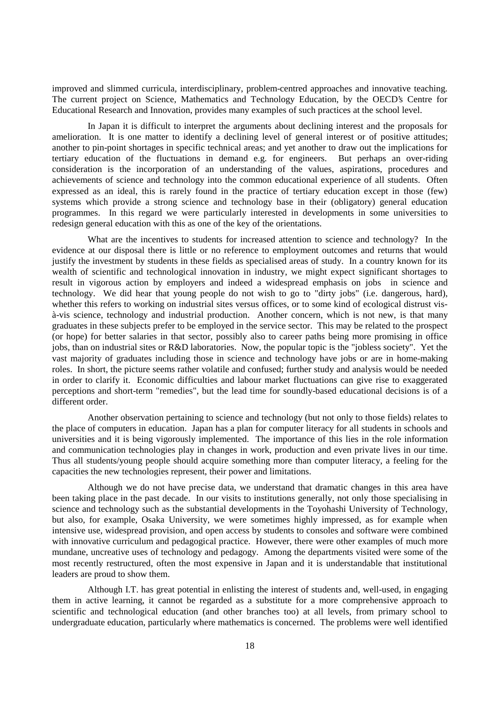improved and slimmed curricula, interdisciplinary, problem-centred approaches and innovative teaching. The current project on Science, Mathematics and Technology Education, by the OECD's Centre for Educational Research and Innovation, provides many examples of such practices at the school level.

In Japan it is difficult to interpret the arguments about declining interest and the proposals for amelioration. It is one matter to identify a declining level of general interest or of positive attitudes; another to pin-point shortages in specific technical areas; and yet another to draw out the implications for tertiary education of the fluctuations in demand e.g. for engineers. But perhaps an over-riding consideration is the incorporation of an understanding of the values, aspirations, procedures and achievements of science and technology into the common educational experience of all students. Often expressed as an ideal, this is rarely found in the practice of tertiary education except in those (few) systems which provide a strong science and technology base in their (obligatory) general education programmes. In this regard we were particularly interested in developments in some universities to redesign general education with this as one of the key of the orientations.

What are the incentives to students for increased attention to science and technology? In the evidence at our disposal there is little or no reference to employment outcomes and returns that would justify the investment by students in these fields as specialised areas of study. In a country known for its wealth of scientific and technological innovation in industry, we might expect significant shortages to result in vigorous action by employers and indeed a widespread emphasis on jobs in science and technology. We did hear that young people do not wish to go to "dirty jobs" (i.e. dangerous, hard), whether this refers to working on industrial sites versus offices, or to some kind of ecological distrust visà-vis science, technology and industrial production. Another concern, which is not new, is that many graduates in these subjects prefer to be employed in the service sector. This may be related to the prospect (or hope) for better salaries in that sector, possibly also to career paths being more promising in office jobs, than on industrial sites or R&D laboratories. Now, the popular topic is the "jobless society". Yet the vast majority of graduates including those in science and technology have jobs or are in home-making roles. In short, the picture seems rather volatile and confused; further study and analysis would be needed in order to clarify it. Economic difficulties and labour market fluctuations can give rise to exaggerated perceptions and short-term "remedies", but the lead time for soundly-based educational decisions is of a different order.

Another observation pertaining to science and technology (but not only to those fields) relates to the place of computers in education. Japan has a plan for computer literacy for all students in schools and universities and it is being vigorously implemented. The importance of this lies in the role information and communication technologies play in changes in work, production and even private lives in our time. Thus all students/young people should acquire something more than computer literacy, a feeling for the capacities the new technologies represent, their power and limitations.

Although we do not have precise data, we understand that dramatic changes in this area have been taking place in the past decade. In our visits to institutions generally, not only those specialising in science and technology such as the substantial developments in the Toyohashi University of Technology, but also, for example, Osaka University, we were sometimes highly impressed, as for example when intensive use, widespread provision, and open access by students to consoles and software were combined with innovative curriculum and pedagogical practice. However, there were other examples of much more mundane, uncreative uses of technology and pedagogy. Among the departments visited were some of the most recently restructured, often the most expensive in Japan and it is understandable that institutional leaders are proud to show them.

Although I.T. has great potential in enlisting the interest of students and, well-used, in engaging them in active learning, it cannot be regarded as a substitute for a more comprehensive approach to scientific and technological education (and other branches too) at all levels, from primary school to undergraduate education, particularly where mathematics is concerned. The problems were well identified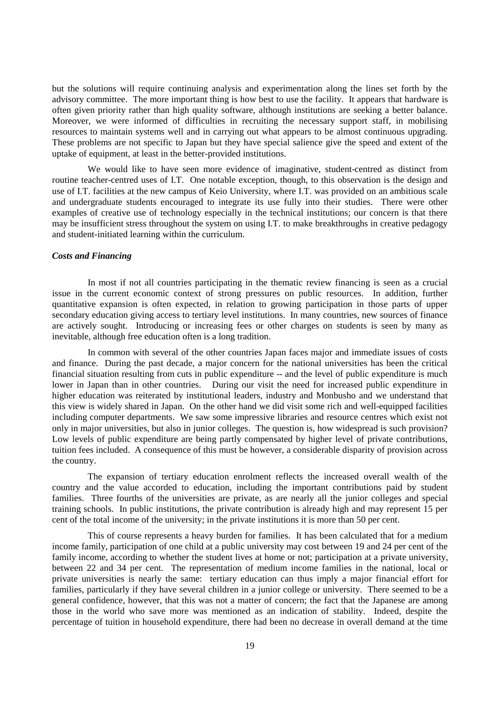but the solutions will require continuing analysis and experimentation along the lines set forth by the advisory committee. The more important thing is how best to use the facility. It appears that hardware is often given priority rather than high quality software, although institutions are seeking a better balance. Moreover, we were informed of difficulties in recruiting the necessary support staff, in mobilising resources to maintain systems well and in carrying out what appears to be almost continuous upgrading. These problems are not specific to Japan but they have special salience give the speed and extent of the uptake of equipment, at least in the better-provided institutions.

We would like to have seen more evidence of imaginative, student-centred as distinct from routine teacher-centred uses of I.T. One notable exception, though, to this observation is the design and use of I.T. facilities at the new campus of Keio University, where I.T. was provided on an ambitious scale and undergraduate students encouraged to integrate its use fully into their studies. There were other examples of creative use of technology especially in the technical institutions; our concern is that there may be insufficient stress throughout the system on using I.T. to make breakthroughs in creative pedagogy and student-initiated learning within the curriculum.

#### *Costs and Financing*

In most if not all countries participating in the thematic review financing is seen as a crucial issue in the current economic context of strong pressures on public resources. In addition, further quantitative expansion is often expected, in relation to growing participation in those parts of upper secondary education giving access to tertiary level institutions. In many countries, new sources of finance are actively sought. Introducing or increasing fees or other charges on students is seen by many as inevitable, although free education often is a long tradition.

In common with several of the other countries Japan faces major and immediate issues of costs and finance. During the past decade, a major concern for the national universities has been the critical financial situation resulting from cuts in public expenditure -- and the level of public expenditure is much lower in Japan than in other countries. During our visit the need for increased public expenditure in higher education was reiterated by institutional leaders, industry and Monbusho and we understand that this view is widely shared in Japan. On the other hand we did visit some rich and well-equipped facilities including computer departments. We saw some impressive libraries and resource centres which exist not only in major universities, but also in junior colleges. The question is, how widespread is such provision? Low levels of public expenditure are being partly compensated by higher level of private contributions, tuition fees included. A consequence of this must be however, a considerable disparity of provision across the country.

The expansion of tertiary education enrolment reflects the increased overall wealth of the country and the value accorded to education, including the important contributions paid by student families. Three fourths of the universities are private, as are nearly all the junior colleges and special training schools. In public institutions, the private contribution is already high and may represent 15 per cent of the total income of the university; in the private institutions it is more than 50 per cent.

This of course represents a heavy burden for families. It has been calculated that for a medium income family, participation of one child at a public university may cost between 19 and 24 per cent of the family income, according to whether the student lives at home or not; participation at a private university, between 22 and 34 per cent. The representation of medium income families in the national, local or private universities is nearly the same: tertiary education can thus imply a major financial effort for families, particularly if they have several children in a junior college or university. There seemed to be a general confidence, however, that this was not a matter of concern; the fact that the Japanese are among those in the world who save more was mentioned as an indication of stability. Indeed, despite the percentage of tuition in household expenditure, there had been no decrease in overall demand at the time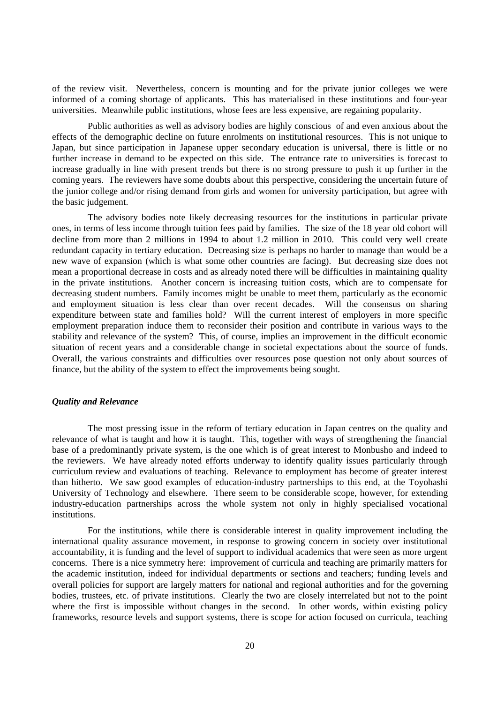of the review visit. Nevertheless, concern is mounting and for the private junior colleges we were informed of a coming shortage of applicants. This has materialised in these institutions and four-year universities. Meanwhile public institutions, whose fees are less expensive, are regaining popularity.

Public authorities as well as advisory bodies are highly conscious of and even anxious about the effects of the demographic decline on future enrolments on institutional resources. This is not unique to Japan, but since participation in Japanese upper secondary education is universal, there is little or no further increase in demand to be expected on this side. The entrance rate to universities is forecast to increase gradually in line with present trends but there is no strong pressure to push it up further in the coming years. The reviewers have some doubts about this perspective, considering the uncertain future of the junior college and/or rising demand from girls and women for university participation, but agree with the basic judgement.

The advisory bodies note likely decreasing resources for the institutions in particular private ones, in terms of less income through tuition fees paid by families. The size of the 18 year old cohort will decline from more than 2 millions in 1994 to about 1.2 million in 2010. This could very well create redundant capacity in tertiary education. Decreasing size is perhaps no harder to manage than would be a new wave of expansion (which is what some other countries are facing). But decreasing size does not mean a proportional decrease in costs and as already noted there will be difficulties in maintaining quality in the private institutions. Another concern is increasing tuition costs, which are to compensate for decreasing student numbers. Family incomes might be unable to meet them, particularly as the economic and employment situation is less clear than over recent decades. Will the consensus on sharing expenditure between state and families hold? Will the current interest of employers in more specific employment preparation induce them to reconsider their position and contribute in various ways to the stability and relevance of the system? This, of course, implies an improvement in the difficult economic situation of recent years and a considerable change in societal expectations about the source of funds. Overall, the various constraints and difficulties over resources pose question not only about sources of finance, but the ability of the system to effect the improvements being sought.

### *Quality and Relevance*

The most pressing issue in the reform of tertiary education in Japan centres on the quality and relevance of what is taught and how it is taught. This, together with ways of strengthening the financial base of a predominantly private system, is the one which is of great interest to Monbusho and indeed to the reviewers. We have already noted efforts underway to identify quality issues particularly through curriculum review and evaluations of teaching. Relevance to employment has become of greater interest than hitherto. We saw good examples of education-industry partnerships to this end, at the Toyohashi University of Technology and elsewhere. There seem to be considerable scope, however, for extending industry-education partnerships across the whole system not only in highly specialised vocational institutions.

For the institutions, while there is considerable interest in quality improvement including the international quality assurance movement, in response to growing concern in society over institutional accountability, it is funding and the level of support to individual academics that were seen as more urgent concerns. There is a nice symmetry here: improvement of curricula and teaching are primarily matters for the academic institution, indeed for individual departments or sections and teachers; funding levels and overall policies for support are largely matters for national and regional authorities and for the governing bodies, trustees, etc. of private institutions. Clearly the two are closely interrelated but not to the point where the first is impossible without changes in the second. In other words, within existing policy frameworks, resource levels and support systems, there is scope for action focused on curricula, teaching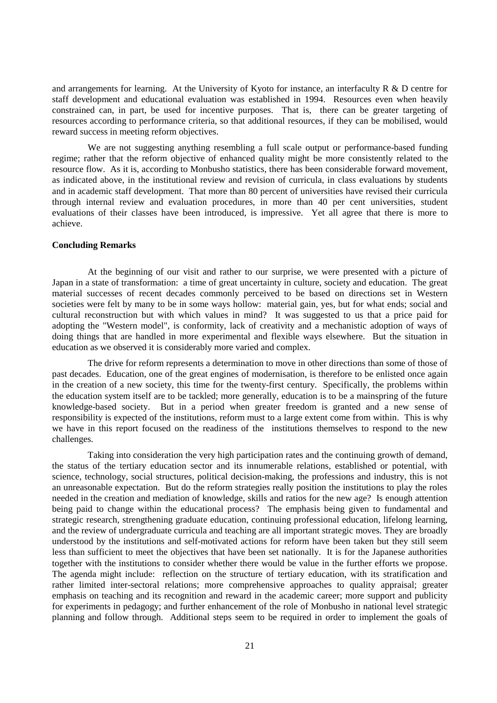and arrangements for learning. At the University of Kyoto for instance, an interfaculty R & D centre for staff development and educational evaluation was established in 1994. Resources even when heavily constrained can, in part, be used for incentive purposes. That is, there can be greater targeting of resources according to performance criteria, so that additional resources, if they can be mobilised, would reward success in meeting reform objectives.

We are not suggesting anything resembling a full scale output or performance-based funding regime; rather that the reform objective of enhanced quality might be more consistently related to the resource flow. As it is, according to Monbusho statistics, there has been considerable forward movement, as indicated above, in the institutional review and revision of curricula, in class evaluations by students and in academic staff development. That more than 80 percent of universities have revised their curricula through internal review and evaluation procedures, in more than 40 per cent universities, student evaluations of their classes have been introduced, is impressive. Yet all agree that there is more to achieve.

### **Concluding Remarks**

At the beginning of our visit and rather to our surprise, we were presented with a picture of Japan in a state of transformation: a time of great uncertainty in culture, society and education. The great material successes of recent decades commonly perceived to be based on directions set in Western societies were felt by many to be in some ways hollow: material gain, yes, but for what ends; social and cultural reconstruction but with which values in mind? It was suggested to us that a price paid for adopting the "Western model", is conformity, lack of creativity and a mechanistic adoption of ways of doing things that are handled in more experimental and flexible ways elsewhere. But the situation in education as we observed it is considerably more varied and complex.

The drive for reform represents a determination to move in other directions than some of those of past decades. Education, one of the great engines of modernisation, is therefore to be enlisted once again in the creation of a new society, this time for the twenty-first century. Specifically, the problems within the education system itself are to be tackled; more generally, education is to be a mainspring of the future knowledge-based society. But in a period when greater freedom is granted and a new sense of responsibility is expected of the institutions, reform must to a large extent come from within. This is why we have in this report focused on the readiness of the institutions themselves to respond to the new challenges.

Taking into consideration the very high participation rates and the continuing growth of demand, the status of the tertiary education sector and its innumerable relations, established or potential, with science, technology, social structures, political decision-making, the professions and industry, this is not an unreasonable expectation. But do the reform strategies really position the institutions to play the roles needed in the creation and mediation of knowledge, skills and ratios for the new age? Is enough attention being paid to change within the educational process? The emphasis being given to fundamental and strategic research, strengthening graduate education, continuing professional education, lifelong learning, and the review of undergraduate curricula and teaching are all important strategic moves. They are broadly understood by the institutions and self-motivated actions for reform have been taken but they still seem less than sufficient to meet the objectives that have been set nationally. It is for the Japanese authorities together with the institutions to consider whether there would be value in the further efforts we propose. The agenda might include: reflection on the structure of tertiary education, with its stratification and rather limited inter-sectoral relations; more comprehensive approaches to quality appraisal; greater emphasis on teaching and its recognition and reward in the academic career; more support and publicity for experiments in pedagogy; and further enhancement of the role of Monbusho in national level strategic planning and follow through. Additional steps seem to be required in order to implement the goals of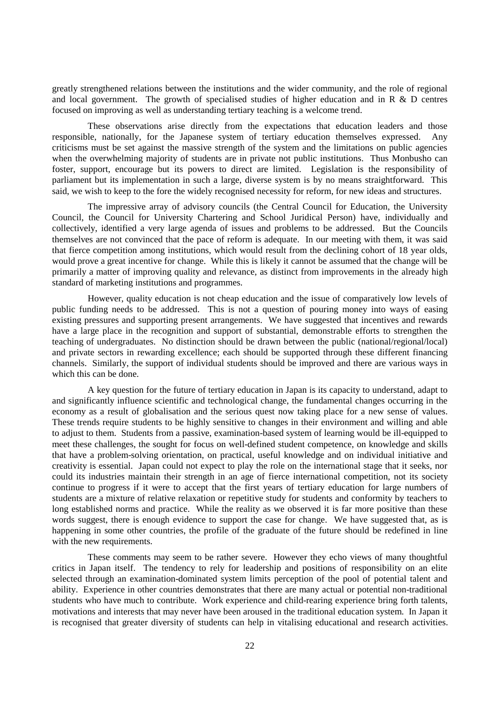greatly strengthened relations between the institutions and the wider community, and the role of regional and local government. The growth of specialised studies of higher education and in R & D centres focused on improving as well as understanding tertiary teaching is a welcome trend.

These observations arise directly from the expectations that education leaders and those responsible, nationally, for the Japanese system of tertiary education themselves expressed. Any criticisms must be set against the massive strength of the system and the limitations on public agencies when the overwhelming majority of students are in private not public institutions. Thus Monbusho can foster, support, encourage but its powers to direct are limited. Legislation is the responsibility of parliament but its implementation in such a large, diverse system is by no means straightforward. This said, we wish to keep to the fore the widely recognised necessity for reform, for new ideas and structures.

The impressive array of advisory councils (the Central Council for Education, the University Council, the Council for University Chartering and School Juridical Person) have, individually and collectively, identified a very large agenda of issues and problems to be addressed. But the Councils themselves are not convinced that the pace of reform is adequate. In our meeting with them, it was said that fierce competition among institutions, which would result from the declining cohort of 18 year olds, would prove a great incentive for change. While this is likely it cannot be assumed that the change will be primarily a matter of improving quality and relevance, as distinct from improvements in the already high standard of marketing institutions and programmes.

However, quality education is not cheap education and the issue of comparatively low levels of public funding needs to be addressed. This is not a question of pouring money into ways of easing existing pressures and supporting present arrangements. We have suggested that incentives and rewards have a large place in the recognition and support of substantial, demonstrable efforts to strengthen the teaching of undergraduates. No distinction should be drawn between the public (national/regional/local) and private sectors in rewarding excellence; each should be supported through these different financing channels. Similarly, the support of individual students should be improved and there are various ways in which this can be done.

A key question for the future of tertiary education in Japan is its capacity to understand, adapt to and significantly influence scientific and technological change, the fundamental changes occurring in the economy as a result of globalisation and the serious quest now taking place for a new sense of values. These trends require students to be highly sensitive to changes in their environment and willing and able to adjust to them. Students from a passive, examination-based system of learning would be ill-equipped to meet these challenges, the sought for focus on well-defined student competence, on knowledge and skills that have a problem-solving orientation, on practical, useful knowledge and on individual initiative and creativity is essential. Japan could not expect to play the role on the international stage that it seeks, nor could its industries maintain their strength in an age of fierce international competition, not its society continue to progress if it were to accept that the first years of tertiary education for large numbers of students are a mixture of relative relaxation or repetitive study for students and conformity by teachers to long established norms and practice. While the reality as we observed it is far more positive than these words suggest, there is enough evidence to support the case for change. We have suggested that, as is happening in some other countries, the profile of the graduate of the future should be redefined in line with the new requirements.

These comments may seem to be rather severe. However they echo views of many thoughtful critics in Japan itself. The tendency to rely for leadership and positions of responsibility on an elite selected through an examination-dominated system limits perception of the pool of potential talent and ability. Experience in other countries demonstrates that there are many actual or potential non-traditional students who have much to contribute. Work experience and child-rearing experience bring forth talents, motivations and interests that may never have been aroused in the traditional education system. In Japan it is recognised that greater diversity of students can help in vitalising educational and research activities.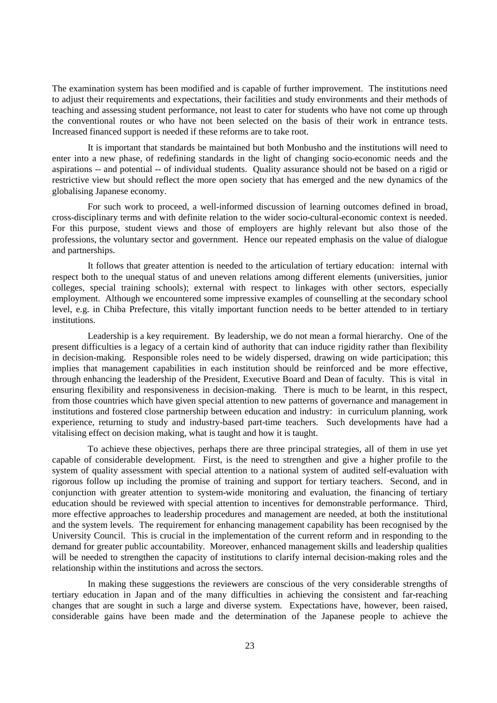The examination system has been modified and is capable of further improvement. The institutions need to adjust their requirements and expectations, their facilities and study environments and their methods of teaching and assessing student performance, not least to cater for students who have not come up through the conventional routes or who have not been selected on the basis of their work in entrance tests. Increased financed support is needed if these reforms are to take root.

It is important that standards be maintained but both Monbusho and the institutions will need to enter into a new phase, of redefining standards in the light of changing socio-economic needs and the aspirations -- and potential -- of individual students. Quality assurance should not be based on a rigid or restrictive view but should reflect the more open society that has emerged and the new dynamics of the globalising Japanese economy.

For such work to proceed, a well-informed discussion of learning outcomes defined in broad, cross-disciplinary terms and with definite relation to the wider socio-cultural-economic context is needed. For this purpose, student views and those of employers are highly relevant but also those of the professions, the voluntary sector and government. Hence our repeated emphasis on the value of dialogue and partnerships.

It follows that greater attention is needed to the articulation of tertiary education: internal with respect both to the unequal status of and uneven relations among different elements (universities, junior colleges, special training schools); external with respect to linkages with other sectors, especially employment. Although we encountered some impressive examples of counselling at the secondary school level, e.g. in Chiba Prefecture, this vitally important function needs to be better attended to in tertiary institutions.

Leadership is a key requirement. By leadership, we do not mean a formal hierarchy. One of the present difficulties is a legacy of a certain kind of authority that can induce rigidity rather than flexibility in decision-making. Responsible roles need to be widely dispersed, drawing on wide participation; this implies that management capabilities in each institution should be reinforced and be more effective, through enhancing the leadership of the President, Executive Board and Dean of faculty. This is vital in ensuring flexibility and responsiveness in decision-making. There is much to be learnt, in this respect, from those countries which have given special attention to new patterns of governance and management in institutions and fostered close partnership between education and industry: in curriculum planning, work experience, returning to study and industry-based part-time teachers. Such developments have had a vitalising effect on decision making, what is taught and how it is taught.

To achieve these objectives, perhaps there are three principal strategies, all of them in use yet capable of considerable development. First, is the need to strengthen and give a higher profile to the system of quality assessment with special attention to a national system of audited self-evaluation with rigorous follow up including the promise of training and support for tertiary teachers. Second, and in conjunction with greater attention to system-wide monitoring and evaluation, the financing of tertiary education should be reviewed with special attention to incentives for demonstrable performance. Third, more effective approaches to leadership procedures and management are needed, at both the institutional and the system levels. The requirement for enhancing management capability has been recognised by the University Council. This is crucial in the implementation of the current reform and in responding to the demand for greater public accountability. Moreover, enhanced management skills and leadership qualities will be needed to strengthen the capacity of institutions to clarify internal decision-making roles and the relationship within the institutions and across the sectors.

In making these suggestions the reviewers are conscious of the very considerable strengths of tertiary education in Japan and of the many difficulties in achieving the consistent and far-reaching changes that are sought in such a large and diverse system. Expectations have, however, been raised, considerable gains have been made and the determination of the Japanese people to achieve the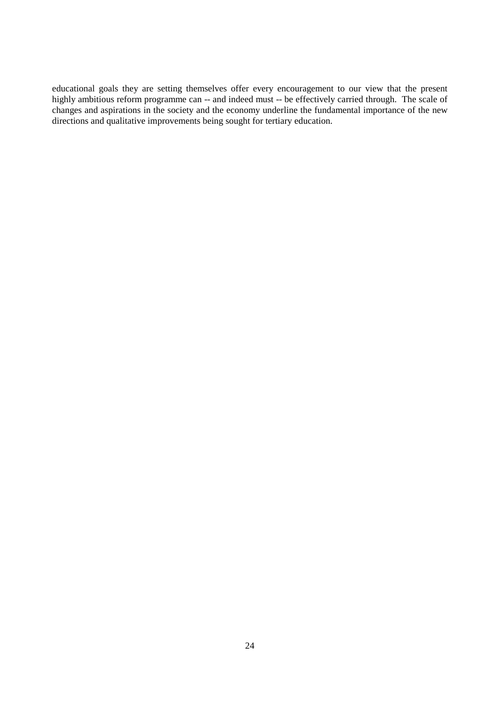educational goals they are setting themselves offer every encouragement to our view that the present highly ambitious reform programme can -- and indeed must -- be effectively carried through. The scale of changes and aspirations in the society and the economy underline the fundamental importance of the new directions and qualitative improvements being sought for tertiary education.